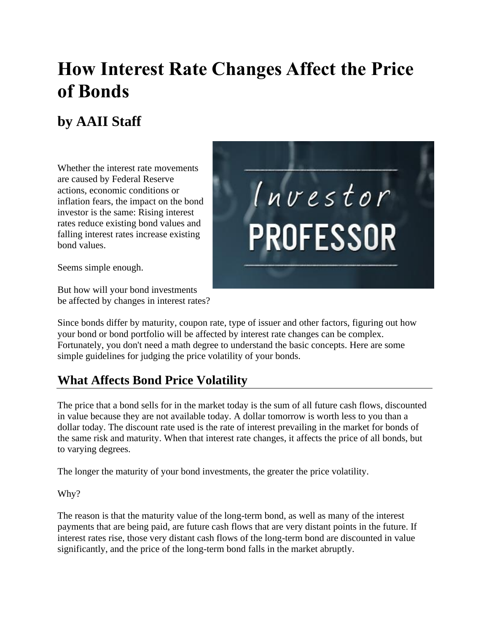# **How Interest Rate Changes Affect the Price of Bonds**

## **by AAII Staff**

Whether the interest rate movements are caused by Federal Reserve actions, economic conditions or inflation fears, the impact on the bond investor is the same: Rising interest rates reduce existing bond values and falling interest rates increase existing bond values.

Seems simple enough.

But how will your bond investments be affected by changes in interest rates?



Since bonds differ by maturity, coupon rate, type of issuer and other factors, figuring out how your bond or bond portfolio will be affected by interest rate changes can be complex. Fortunately, you don't need a math degree to understand the basic concepts. Here are some simple guidelines for judging the price volatility of your bonds.

### **What Affects Bond Price Volatility**

The price that a bond sells for in the market today is the sum of all future cash flows, discounted in value because they are not available today. A dollar tomorrow is worth less to you than a dollar today. The discount rate used is the rate of interest prevailing in the market for bonds of the same risk and maturity. When that interest rate changes, it affects the price of all bonds, but to varying degrees.

The longer the maturity of your bond investments, the greater the price volatility.

Why?

The reason is that the maturity value of the long-term bond, as well as many of the interest payments that are being paid, are future cash flows that are very distant points in the future. If interest rates rise, those very distant cash flows of the long-term bond are discounted in value significantly, and the price of the long-term bond falls in the market abruptly.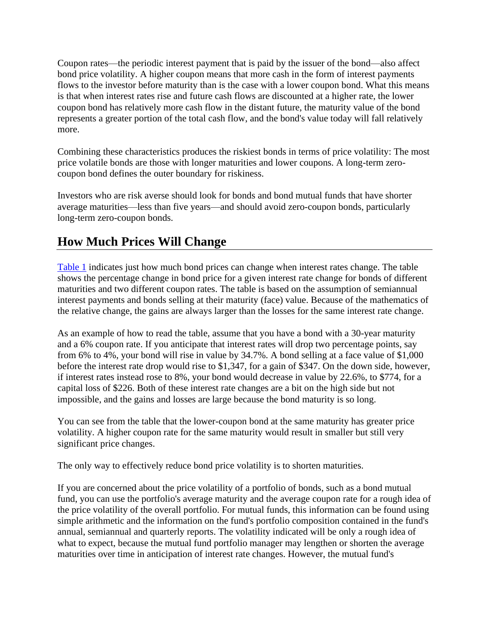Coupon rates—the periodic interest payment that is paid by the issuer of the bond—also affect bond price volatility. A higher coupon means that more cash in the form of interest payments flows to the investor before maturity than is the case with a lower coupon bond. What this means is that when interest rates rise and future cash flows are discounted at a higher rate, the lower coupon bond has relatively more cash flow in the distant future, the maturity value of the bond represents a greater portion of the total cash flow, and the bond's value today will fall relatively more.

Combining these characteristics produces the riskiest bonds in terms of price volatility: The most price volatile bonds are those with longer maturities and lower coupons. A long-term zerocoupon bond defines the outer boundary for riskiness.

Investors who are risk averse should look for bonds and bond mutual funds that have shorter average maturities—less than five years—and should avoid zero-coupon bonds, particularly long-term zero-coupon bonds.

#### **How Much Prices Will Change**

[Table 1](https://www.aaii.com/journal/article/how-interest-rate-changes-affect-the-price-of-bonds.mobile?#table1) indicates just how much bond prices can change when interest rates change. The table shows the percentage change in bond price for a given interest rate change for bonds of different maturities and two different coupon rates. The table is based on the assumption of semiannual interest payments and bonds selling at their maturity (face) value. Because of the mathematics of the relative change, the gains are always larger than the losses for the same interest rate change.

As an example of how to read the table, assume that you have a bond with a 30-year maturity and a 6% coupon rate. If you anticipate that interest rates will drop two percentage points, say from 6% to  $4\%$ , your bond will rise in value by 34.7%. A bond selling at a face value of \$1,000 before the interest rate drop would rise to \$1,347, for a gain of \$347. On the down side, however, if interest rates instead rose to 8%, your bond would decrease in value by 22.6%, to \$774, for a capital loss of \$226. Both of these interest rate changes are a bit on the high side but not impossible, and the gains and losses are large because the bond maturity is so long.

You can see from the table that the lower-coupon bond at the same maturity has greater price volatility. A higher coupon rate for the same maturity would result in smaller but still very significant price changes.

The only way to effectively reduce bond price volatility is to shorten maturities.

If you are concerned about the price volatility of a portfolio of bonds, such as a bond mutual fund, you can use the portfolio's average maturity and the average coupon rate for a rough idea of the price volatility of the overall portfolio. For mutual funds, this information can be found using simple arithmetic and the information on the fund's portfolio composition contained in the fund's annual, semiannual and quarterly reports. The volatility indicated will be only a rough idea of what to expect, because the mutual fund portfolio manager may lengthen or shorten the average maturities over time in anticipation of interest rate changes. However, the mutual fund's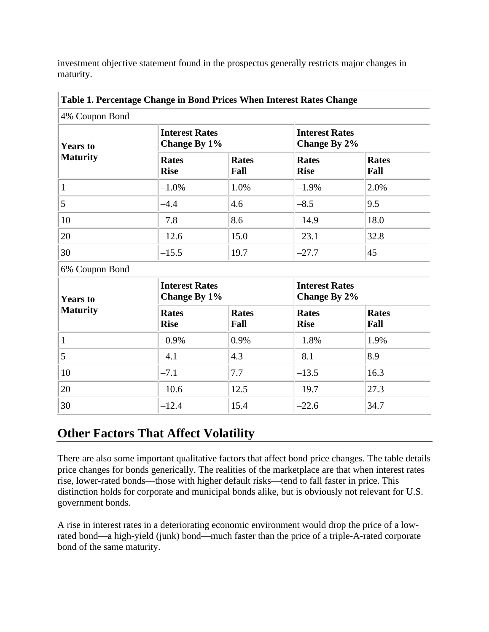investment objective statement found in the prospectus generally restricts major changes in maturity.

|                                    | Table 1. Percentage Change in Bond Prices When Interest Rates Change |                      |                                       |                      |
|------------------------------------|----------------------------------------------------------------------|----------------------|---------------------------------------|----------------------|
| 4% Coupon Bond                     |                                                                      |                      |                                       |                      |
| <b>Years to</b><br><b>Maturity</b> | <b>Interest Rates</b><br>Change By 1%                                |                      | <b>Interest Rates</b><br>Change By 2% |                      |
|                                    | <b>Rates</b><br><b>Rise</b>                                          | <b>Rates</b><br>Fall | <b>Rates</b><br><b>Rise</b>           | <b>Rates</b><br>Fall |
| $\mathbf{1}$                       | $-1.0%$                                                              | 1.0%                 | $-1.9%$                               | 2.0%                 |
| 5                                  | $-4.4$                                                               | 4.6                  | $-8.5$                                | 9.5                  |
| 10                                 | $-7.8$                                                               | 8.6                  | $-14.9$                               | 18.0                 |
| 20                                 | $-12.6$                                                              | 15.0                 | $-23.1$                               | 32.8                 |
| 30                                 | $-15.5$                                                              | 19.7                 | $-27.7$                               | 45                   |
| 6% Coupon Bond                     |                                                                      |                      |                                       |                      |
| <b>Years to</b><br><b>Maturity</b> | <b>Interest Rates</b><br>Change By 1%                                |                      | <b>Interest Rates</b><br>Change By 2% |                      |
|                                    | <b>Rates</b><br><b>Rise</b>                                          | <b>Rates</b><br>Fall | <b>Rates</b><br><b>Rise</b>           | <b>Rates</b><br>Fall |
| $\mathbf{1}$                       | $-0.9\%$                                                             | 0.9%                 | $-1.8%$                               | 1.9%                 |
| 5                                  | $-4.1$                                                               | 4.3                  | $-8.1$                                | 8.9                  |
| 10                                 | $-7.1$                                                               | 7.7                  | $-13.5$                               | 16.3                 |
| 20                                 | $-10.6$                                                              | 12.5                 | $-19.7$                               | 27.3                 |
| 30                                 | $-12.4$                                                              | 15.4                 | $-22.6$                               | 34.7                 |

### **Other Factors That Affect Volatility**

There are also some important qualitative factors that affect bond price changes. The table details price changes for bonds generically. The realities of the marketplace are that when interest rates rise, lower-rated bonds—those with higher default risks—tend to fall faster in price. This distinction holds for corporate and municipal bonds alike, but is obviously not relevant for U.S. government bonds.

A rise in interest rates in a deteriorating economic environment would drop the price of a lowrated bond—a high-yield (junk) bond—much faster than the price of a triple-A-rated corporate bond of the same maturity.